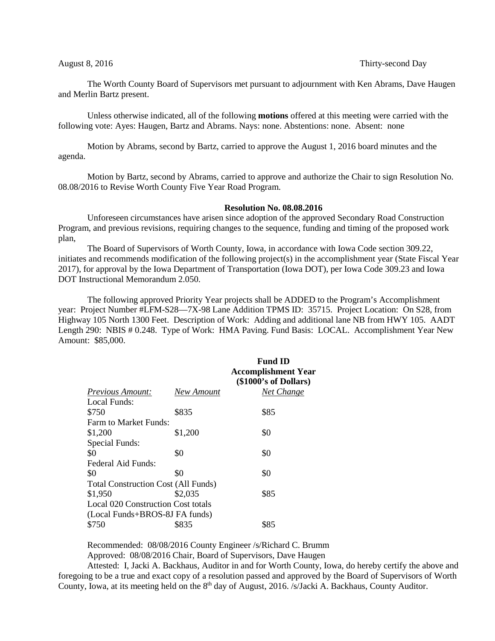## August 8, 2016 **Thirty-second Day**

The Worth County Board of Supervisors met pursuant to adjournment with Ken Abrams, Dave Haugen and Merlin Bartz present.

Unless otherwise indicated, all of the following **motions** offered at this meeting were carried with the following vote: Ayes: Haugen, Bartz and Abrams. Nays: none. Abstentions: none. Absent: none

Motion by Abrams, second by Bartz, carried to approve the August 1, 2016 board minutes and the agenda.

Motion by Bartz, second by Abrams, carried to approve and authorize the Chair to sign Resolution No. 08.08/2016 to Revise Worth County Five Year Road Program.

## **Resolution No. 08.08.2016**

Unforeseen circumstances have arisen since adoption of the approved Secondary Road Construction Program, and previous revisions, requiring changes to the sequence, funding and timing of the proposed work plan,

The Board of Supervisors of Worth County, Iowa, in accordance with Iowa Code section 309.22, initiates and recommends modification of the following project(s) in the accomplishment year (State Fiscal Year 2017), for approval by the Iowa Department of Transportation (Iowa DOT), per Iowa Code 309.23 and Iowa DOT Instructional Memorandum 2.050.

The following approved Priority Year projects shall be ADDED to the Program's Accomplishment year: Project Number #LFM-S28—7X-98 Lane Addition TPMS ID: 35715. Project Location: On S28, from Highway 105 North 1300 Feet. Description of Work: Adding and additional lane NB from HWY 105. AADT Length 290: NBIS # 0.248. Type of Work: HMA Paving. Fund Basis: LOCAL. Accomplishment Year New Amount: \$85,000.

|                                            |            | <b>Fund ID</b><br><b>Accomplishment Year</b><br>(\$1000's of Dollars) |  |
|--------------------------------------------|------------|-----------------------------------------------------------------------|--|
| <b>Previous Amount:</b>                    | New Amount | Net Change                                                            |  |
| Local Funds:                               |            |                                                                       |  |
| \$750                                      | \$835      | \$85                                                                  |  |
| <b>Farm to Market Funds:</b>               |            |                                                                       |  |
| \$1,200                                    | \$1,200    | \$0                                                                   |  |
| Special Funds:                             |            |                                                                       |  |
| \$0                                        | \$0        | \$0                                                                   |  |
| Federal Aid Funds:                         |            |                                                                       |  |
| \$0                                        | \$0        | \$0                                                                   |  |
| <b>Total Construction Cost (All Funds)</b> |            |                                                                       |  |
| \$1,950                                    | \$2,035    | \$85                                                                  |  |
| Local 020 Construction Cost totals         |            |                                                                       |  |
| (Local Funds+BROS-8J FA funds)             |            |                                                                       |  |
| \$750                                      | \$835      | \$85                                                                  |  |

Recommended: 08/08/2016 County Engineer /s/Richard C. Brumm Approved: 08/08/2016 Chair, Board of Supervisors, Dave Haugen

Attested: I, Jacki A. Backhaus, Auditor in and for Worth County, Iowa, do hereby certify the above and foregoing to be a true and exact copy of a resolution passed and approved by the Board of Supervisors of Worth County, Iowa, at its meeting held on the 8<sup>th</sup> day of August, 2016. /s/Jacki A. Backhaus, County Auditor.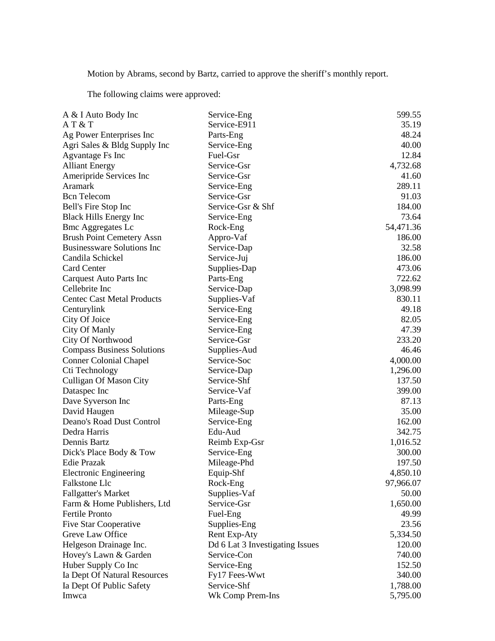Motion by Abrams, second by Bartz, carried to approve the sheriff's monthly report.

The following claims were approved:

| A & I Auto Body Inc               | Service-Eng                     | 599.55    |
|-----------------------------------|---------------------------------|-----------|
| AT & T                            | Service-E911                    | 35.19     |
| Ag Power Enterprises Inc          | Parts-Eng                       | 48.24     |
| Agri Sales & Bldg Supply Inc      | Service-Eng                     | 40.00     |
| Agvantage Fs Inc                  | Fuel-Gsr                        | 12.84     |
| <b>Alliant Energy</b>             | Service-Gsr                     | 4,732.68  |
| Ameripride Services Inc           | Service-Gsr                     | 41.60     |
| Aramark                           | Service-Eng                     | 289.11    |
| <b>Bcn</b> Telecom                | Service-Gsr                     | 91.03     |
| Bell's Fire Stop Inc              | Service-Gsr & Shf               | 184.00    |
| <b>Black Hills Energy Inc</b>     | Service-Eng                     | 73.64     |
| <b>Bmc Aggregates Lc</b>          | Rock-Eng                        | 54,471.36 |
| <b>Brush Point Cemetery Assn</b>  | Appro-Vaf                       | 186.00    |
| <b>Businessware Solutions Inc</b> | Service-Dap                     | 32.58     |
| Candila Schickel                  | Service-Juj                     | 186.00    |
| <b>Card Center</b>                | Supplies-Dap                    | 473.06    |
| Carquest Auto Parts Inc           | Parts-Eng                       | 722.62    |
| Cellebrite Inc                    | Service-Dap                     | 3,098.99  |
| <b>Centec Cast Metal Products</b> | Supplies-Vaf                    | 830.11    |
| Centurylink                       | Service-Eng                     | 49.18     |
| City Of Joice                     | Service-Eng                     | 82.05     |
| City Of Manly                     | Service-Eng                     | 47.39     |
| City Of Northwood                 | Service-Gsr                     | 233.20    |
| <b>Compass Business Solutions</b> | Supplies-Aud                    | 46.46     |
|                                   | Service-Soc                     | 4,000.00  |
| <b>Conner Colonial Chapel</b>     |                                 | 1,296.00  |
| Cti Technology                    | Service-Dap<br>Service-Shf      | 137.50    |
| <b>Culligan Of Mason City</b>     | Service-Vaf                     |           |
| Dataspec Inc                      |                                 | 399.00    |
| Dave Syverson Inc                 | Parts-Eng                       | 87.13     |
| David Haugen                      | Mileage-Sup                     | 35.00     |
| Deano's Road Dust Control         | Service-Eng                     | 162.00    |
| Dedra Harris                      | Edu-Aud                         | 342.75    |
| Dennis Bartz                      | Reimb Exp-Gsr                   | 1,016.52  |
| Dick's Place Body & Tow           | Service-Eng                     | 300.00    |
| <b>Edie Prazak</b>                | Mileage-Phd                     | 197.50    |
| <b>Electronic Engineering</b>     | Equip-Shf                       | 4,850.10  |
| Falkstone Llc                     | Rock-Eng                        | 97,966.07 |
| <b>Fallgatter's Market</b>        | Supplies-Vaf                    | 50.00     |
| Farm & Home Publishers, Ltd       | Service-Gsr                     | 1,650.00  |
| Fertile Pronto                    | Fuel-Eng                        | 49.99     |
| Five Star Cooperative             | Supplies-Eng                    | 23.56     |
| Greve Law Office                  | <b>Rent Exp-Aty</b>             | 5,334.50  |
| Helgeson Drainage Inc.            | Dd 6 Lat 3 Investigating Issues | 120.00    |
| Hovey's Lawn & Garden             | Service-Con                     | 740.00    |
| Huber Supply Co Inc               | Service-Eng                     | 152.50    |
| Ia Dept Of Natural Resources      | Fy17 Fees-Wwt                   | 340.00    |
| Ia Dept Of Public Safety          | Service-Shf                     | 1,788.00  |
| Imwca                             | Wk Comp Prem-Ins                | 5,795.00  |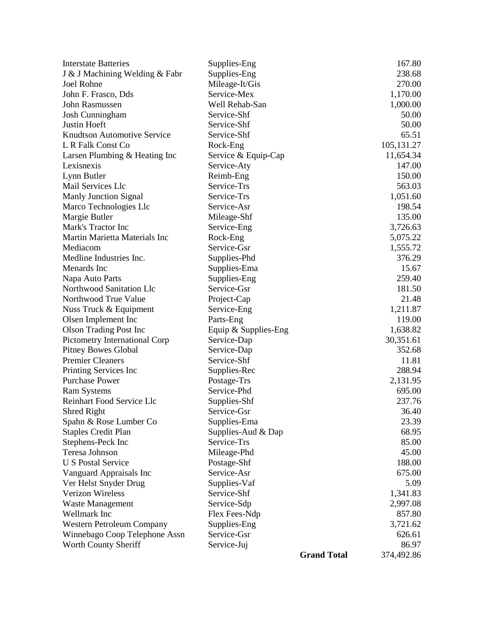| <b>Interstate Batteries</b>        | Supplies-Eng         |                    | 167.80     |
|------------------------------------|----------------------|--------------------|------------|
| J & J Machining Welding & Fabr     | Supplies-Eng         |                    | 238.68     |
| Joel Rohne                         | Mileage-It/Gis       |                    | 270.00     |
| John F. Frasco, Dds                | Service-Mex          |                    | 1,170.00   |
| John Rasmussen                     | Well Rehab-San       |                    | 1,000.00   |
| <b>Josh Cunningham</b>             | Service-Shf          |                    | 50.00      |
| Justin Hoeft                       | Service-Shf          |                    | 50.00      |
| <b>Knudtson Automotive Service</b> | Service-Shf          |                    | 65.51      |
| L R Falk Const Co                  | Rock-Eng             |                    | 105,131.27 |
| Larsen Plumbing & Heating Inc      | Service & Equip-Cap  |                    | 11,654.34  |
| Lexisnexis                         | Service-Aty          |                    | 147.00     |
| Lynn Butler                        | Reimb-Eng            |                    | 150.00     |
| Mail Services Llc                  | Service-Trs          |                    | 563.03     |
| Manly Junction Signal              | Service-Trs          |                    | 1,051.60   |
| Marco Technologies Llc             | Service-Asr          |                    | 198.54     |
| Margie Butler                      | Mileage-Shf          |                    | 135.00     |
| Mark's Tractor Inc                 | Service-Eng          |                    | 3,726.63   |
| Martin Marietta Materials Inc      | Rock-Eng             |                    | 5,075.22   |
| Mediacom                           | Service-Gsr          |                    | 1,555.72   |
| Medline Industries Inc.            | Supplies-Phd         |                    | 376.29     |
| Menards Inc                        | Supplies-Ema         |                    | 15.67      |
| Napa Auto Parts                    | Supplies-Eng         |                    | 259.40     |
| Northwood Sanitation Llc           | Service-Gsr          |                    | 181.50     |
| Northwood True Value               | Project-Cap          |                    | 21.48      |
| Nuss Truck & Equipment             | Service-Eng          |                    | 1,211.87   |
| Olsen Implement Inc                | Parts-Eng            |                    | 119.00     |
| <b>Olson Trading Post Inc</b>      | Equip & Supplies-Eng |                    | 1,638.82   |
| Pictometry International Corp      | Service-Dap          |                    | 30,351.61  |
| <b>Pitney Bowes Global</b>         | Service-Dap          |                    | 352.68     |
| <b>Premier Cleaners</b>            | Service-Shf          |                    | 11.81      |
| Printing Services Inc              | Supplies-Rec         |                    | 288.94     |
| <b>Purchase Power</b>              | Postage-Trs          |                    | 2,131.95   |
| <b>Ram Systems</b>                 | Service-Phd          |                    | 695.00     |
| Reinhart Food Service Llc          | Supplies-Shf         |                    | 237.76     |
| Shred Right                        | Service-Gsr          |                    | 36.40      |
| Spahn & Rose Lumber Co             | Supplies-Ema         |                    | 23.39      |
| <b>Staples Credit Plan</b>         | Supplies-Aud & Dap   |                    | 68.95      |
| Stephens-Peck Inc                  | Service-Trs          |                    | 85.00      |
| Teresa Johnson                     | Mileage-Phd          |                    | 45.00      |
| <b>U S Postal Service</b>          | Postage-Shf          |                    | 188.00     |
| Vanguard Appraisals Inc            | Service-Asr          |                    | 675.00     |
| Ver Helst Snyder Drug              | Supplies-Vaf         |                    | 5.09       |
| <b>Verizon Wireless</b>            | Service-Shf          |                    | 1,341.83   |
| <b>Waste Management</b>            | Service-Sdp          |                    | 2,997.08   |
| Wellmark Inc                       | Flex Fees-Ndp        |                    | 857.80     |
| Western Petroleum Company          | Supplies-Eng         |                    | 3,721.62   |
| Winnebago Coop Telephone Assn      | Service-Gsr          |                    | 626.61     |
| Worth County Sheriff               | Service-Juj          |                    | 86.97      |
|                                    |                      | <b>Grand Total</b> | 374,492.86 |